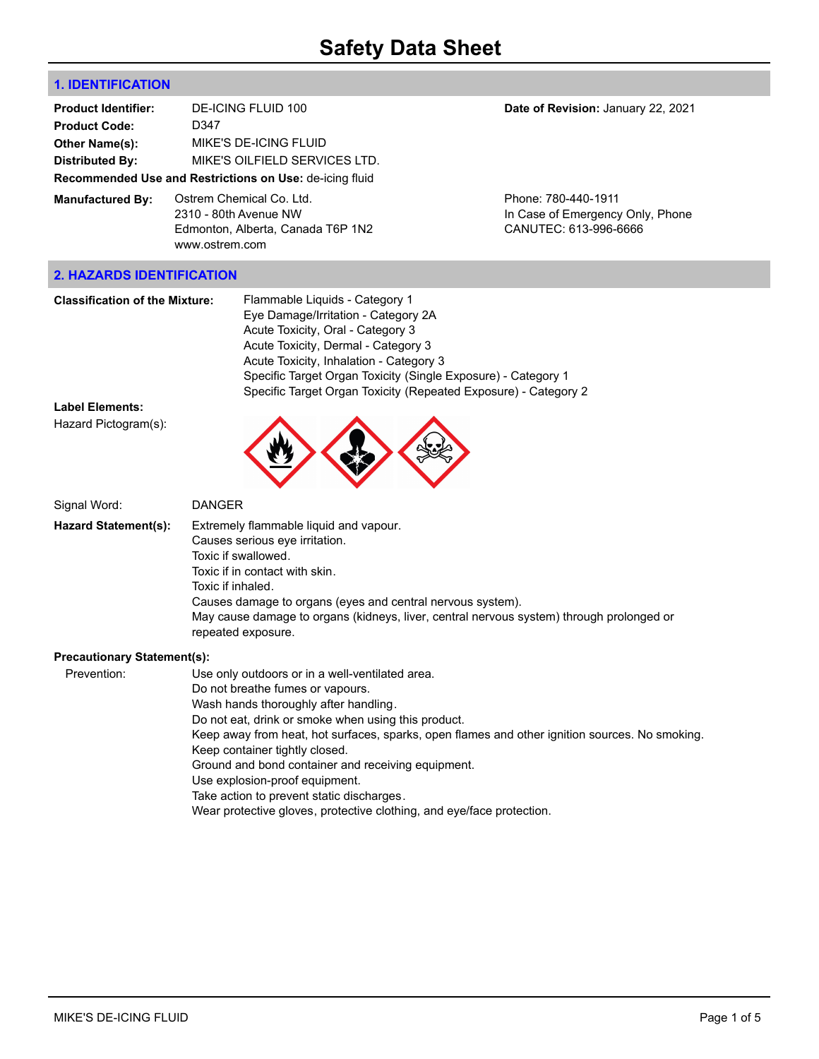# **1. IDENTIFICATION**

| <b>Product Identifier:</b>       | DE-ICING FLUID 100                                                                                       | Date of Revision: January 22, 2021                                               |
|----------------------------------|----------------------------------------------------------------------------------------------------------|----------------------------------------------------------------------------------|
| <b>Product Code:</b>             | D347                                                                                                     |                                                                                  |
| Other Name(s):                   | MIKE'S DE-ICING FLUID                                                                                    |                                                                                  |
| <b>Distributed By:</b>           | MIKE'S OILFIELD SERVICES LTD.                                                                            |                                                                                  |
|                                  | Recommended Use and Restrictions on Use: de-icing fluid                                                  |                                                                                  |
| <b>Manufactured By:</b>          | Ostrem Chemical Co. Ltd.<br>2310 - 80th Avenue NW<br>Edmonton, Alberta, Canada T6P 1N2<br>www.ostrem.com | Phone: 780-440-1911<br>In Case of Emergency Only, Phone<br>CANUTEC: 613-996-6666 |
| <b>2. HAZARDS IDENTIFICATION</b> |                                                                                                          |                                                                                  |
|                                  |                                                                                                          |                                                                                  |

| <b>Classification of the Mixture:</b> | Flammable Liquids - Category 1                                  |
|---------------------------------------|-----------------------------------------------------------------|
|                                       | Eye Damage/Irritation - Category 2A                             |
|                                       | Acute Toxicity, Oral - Category 3                               |
|                                       | Acute Toxicity, Dermal - Category 3                             |
|                                       | Acute Toxicity, Inhalation - Category 3                         |
|                                       | Specific Target Organ Toxicity (Single Exposure) - Category 1   |
|                                       | Specific Target Organ Toxicity (Repeated Exposure) - Category 2 |

#### **Label Elements:**

Hazard Pictogram(s):

Signal Word: DANGER **Hazard Statement(s):** Extremely flammable liquid and vapour. Causes serious eye irritation. Toxic if swallowed. Toxic if in contact with skin. Toxic if inhaled. Causes damage to organs (eyes and central nervous system). May cause damage to organs (kidneys, liver, central nervous system) through prolonged or repeated exposure.

#### **Precautionary Statement(s):**

Prevention: Use only outdoors or in a well-ventilated area.

- Do not breathe fumes or vapours.
- Wash hands thoroughly after handling.

Do not eat, drink or smoke when using this product.

Keep away from heat, hot surfaces, sparks, open flames and other ignition sources. No smoking. Keep container tightly closed.

Ground and bond container and receiving equipment.

- Use explosion-proof equipment.
- Take action to prevent static discharges.

Wear protective gloves, protective clothing, and eye/face protection.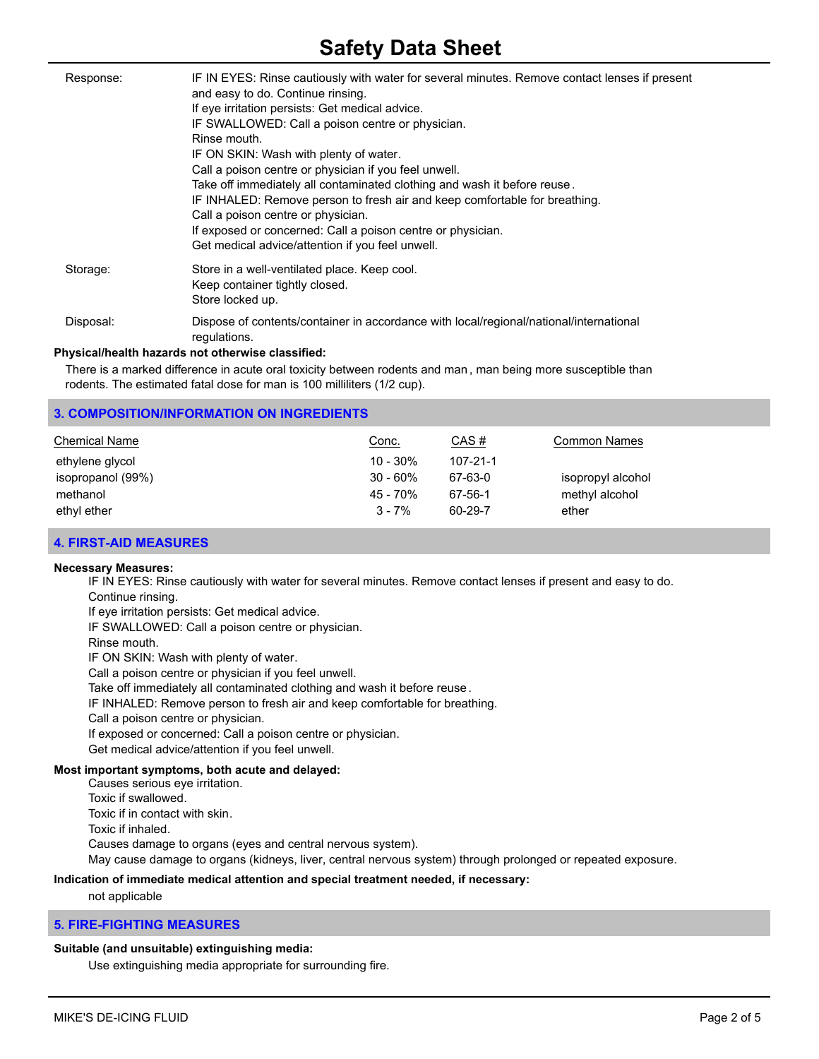# **Safety Data Sheet**

| Response: | IF IN EYES: Rinse cautiously with water for several minutes. Remove contact lenses if present<br>and easy to do. Continue rinsing.<br>If eye irritation persists: Get medical advice.<br>IF SWALLOWED: Call a poison centre or physician.<br>Rinse mouth.<br>IF ON SKIN: Wash with plenty of water.<br>Call a poison centre or physician if you feel unwell.<br>Take off immediately all contaminated clothing and wash it before reuse.<br>IF INHALED: Remove person to fresh air and keep comfortable for breathing.<br>Call a poison centre or physician.<br>If exposed or concerned: Call a poison centre or physician.<br>Get medical advice/attention if you feel unwell. |
|-----------|---------------------------------------------------------------------------------------------------------------------------------------------------------------------------------------------------------------------------------------------------------------------------------------------------------------------------------------------------------------------------------------------------------------------------------------------------------------------------------------------------------------------------------------------------------------------------------------------------------------------------------------------------------------------------------|
| Storage:  | Store in a well-ventilated place. Keep cool.<br>Keep container tightly closed.<br>Store locked up.                                                                                                                                                                                                                                                                                                                                                                                                                                                                                                                                                                              |
| Disposal: | Dispose of contents/container in accordance with local/regional/national/international<br>regulations.                                                                                                                                                                                                                                                                                                                                                                                                                                                                                                                                                                          |
|           | Physical/health hazards not otherwise classified:                                                                                                                                                                                                                                                                                                                                                                                                                                                                                                                                                                                                                               |

There is a marked difference in acute oral toxicity between rodents and man , man being more susceptible than rodents. The estimated fatal dose for man is 100 milliliters (1/2 cup).

## **3. COMPOSITION/INFORMATION ON INGREDIENTS**

| <b>Chemical Name</b> | Conc.       | CAS#     | <b>Common Names</b> |
|----------------------|-------------|----------|---------------------|
| ethylene glycol      | $10 - 30\%$ | 107-21-1 |                     |
| isopropanol (99%)    | $30 - 60\%$ | 67-63-0  | isopropyl alcohol   |
| methanol             | 45 - 70%    | 67-56-1  | methyl alcohol      |
| ethyl ether          | $3 - 7%$    | 60-29-7  | ether               |

#### **4. FIRST-AID MEASURES**

#### **Necessary Measures:**

IF IN EYES: Rinse cautiously with water for several minutes. Remove contact lenses if present and easy to do. Continue rinsing.

If eye irritation persists: Get medical advice.

IF SWALLOWED: Call a poison centre or physician.

Rinse mouth.

IF ON SKIN: Wash with plenty of water.

Call a poison centre or physician if you feel unwell.

Take off immediately all contaminated clothing and wash it before reuse.

IF INHALED: Remove person to fresh air and keep comfortable for breathing.

Call a poison centre or physician.

If exposed or concerned: Call a poison centre or physician.

Get medical advice/attention if you feel unwell.

# **Most important symptoms, both acute and delayed:**

Causes serious eye irritation. Toxic if swallowed. Toxic if in contact with skin. Toxic if inhaled. Causes damage to organs (eyes and central nervous system). May cause damage to organs (kidneys, liver, central nervous system) through prolonged or repeated exposure.

# **Indication of immediate medical attention and special treatment needed, if necessary:**

not applicable

# **5. FIRE-FIGHTING MEASURES**

# **Suitable (and unsuitable) extinguishing media:**

Use extinguishing media appropriate for surrounding fire.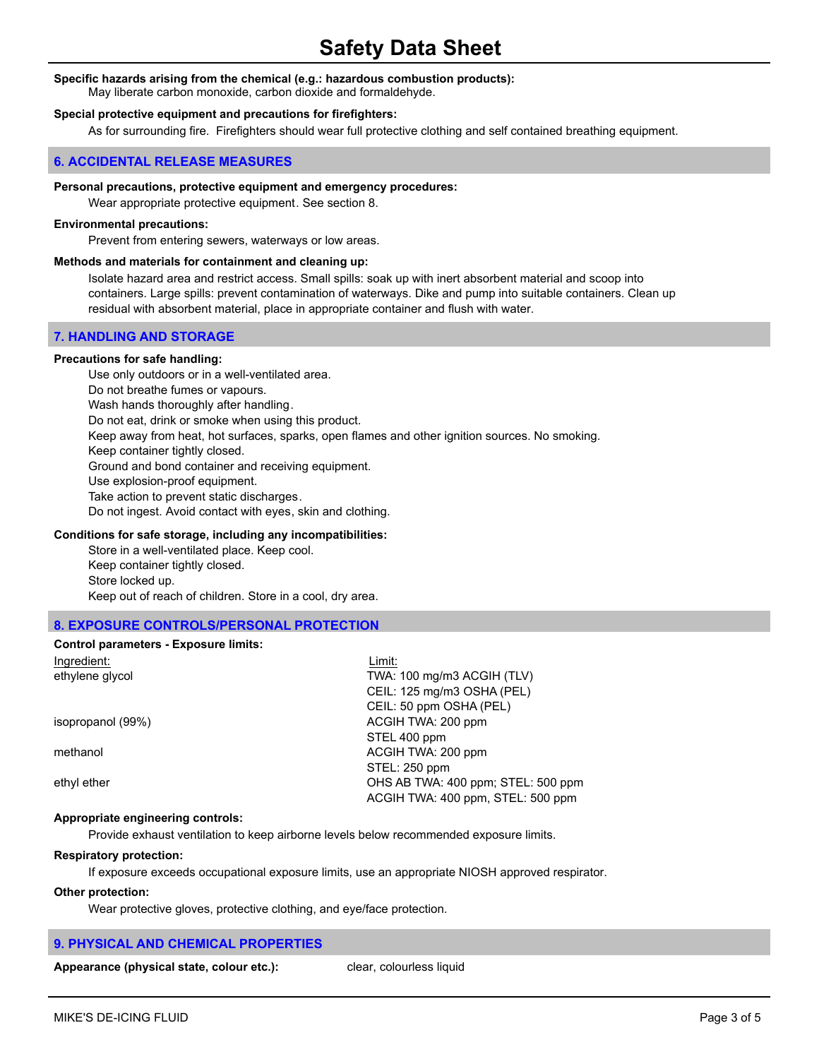#### **Specific hazards arising from the chemical (e.g.: hazardous combustion products):**

May liberate carbon monoxide, carbon dioxide and formaldehyde.

#### **Special protective equipment and precautions for firefighters:**

As for surrounding fire. Firefighters should wear full protective clothing and self contained breathing equipment.

#### **6. ACCIDENTAL RELEASE MEASURES**

#### **Personal precautions, protective equipment and emergency procedures:**

Wear appropriate protective equipment. See section 8.

#### **Environmental precautions:**

Prevent from entering sewers, waterways or low areas.

#### **Methods and materials for containment and cleaning up:**

Isolate hazard area and restrict access. Small spills: soak up with inert absorbent material and scoop into containers. Large spills: prevent contamination of waterways. Dike and pump into suitable containers. Clean up residual with absorbent material, place in appropriate container and flush with water.

#### **7. HANDLING AND STORAGE**

#### **Precautions for safe handling:**

Use only outdoors or in a well-ventilated area. Do not breathe fumes or vapours. Wash hands thoroughly after handling. Do not eat, drink or smoke when using this product. Keep away from heat, hot surfaces, sparks, open flames and other ignition sources. No smoking. Keep container tightly closed. Ground and bond container and receiving equipment. Use explosion-proof equipment. Take action to prevent static discharges. Do not ingest. Avoid contact with eyes, skin and clothing.

#### **Conditions for safe storage, including any incompatibilities:**

Store in a well-ventilated place. Keep cool. Keep container tightly closed. Store locked up. Keep out of reach of children. Store in a cool, dry area.

#### **8. EXPOSURE CONTROLS/PERSONAL PROTECTION**

#### **Control parameters - Exposure limits:**

| Ingredient:       | Limit:                             |
|-------------------|------------------------------------|
| ethylene glycol   | TWA: 100 mg/m3 ACGIH (TLV)         |
|                   | CEIL: 125 mg/m3 OSHA (PEL)         |
|                   | CEIL: 50 ppm OSHA (PEL)            |
| isopropanol (99%) | ACGIH TWA: 200 ppm                 |
|                   | STEL 400 ppm                       |
| methanol          | ACGIH TWA: 200 ppm                 |
|                   | STEL: 250 ppm                      |
| ethyl ether       | OHS AB TWA: 400 ppm; STEL: 500 ppm |
|                   | ACGIH TWA: 400 ppm, STEL: 500 ppm  |
|                   |                                    |

#### **Appropriate engineering controls:**

Provide exhaust ventilation to keep airborne levels below recommended exposure limits.

#### **Respiratory protection:**

If exposure exceeds occupational exposure limits, use an appropriate NIOSH approved respirator.

#### **Other protection:**

Wear protective gloves, protective clothing, and eye/face protection.

# **9. PHYSICAL AND CHEMICAL PROPERTIES**

Appearance (physical state, colour etc.): clear, colourless liquid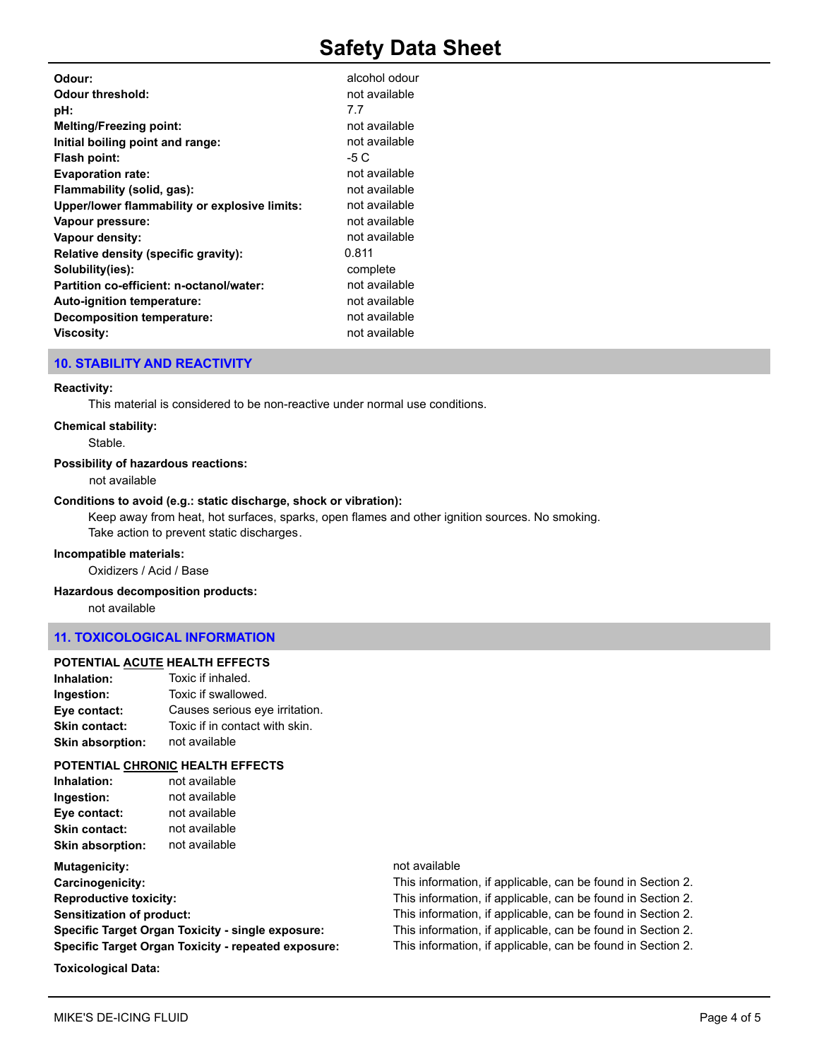# **Safety Data Sheet**

| Odour:                                        | alcohol odour |
|-----------------------------------------------|---------------|
| Odour threshold:                              | not available |
| pH:                                           | 7.7           |
| <b>Melting/Freezing point:</b>                | not available |
| Initial boiling point and range:              | not available |
| Flash point:                                  | -5 C          |
| <b>Evaporation rate:</b>                      | not available |
| Flammability (solid, gas):                    | not available |
| Upper/lower flammability or explosive limits: | not available |
| Vapour pressure:                              | not available |
| Vapour density:                               | not available |
| Relative density (specific gravity):          | 0.811         |
| Solubility(ies):                              | complete      |
| Partition co-efficient: n-octanol/water:      | not available |
| Auto-ignition temperature:                    | not available |
| Decomposition temperature:                    | not available |
| <b>Viscosity:</b>                             | not available |
|                                               |               |

#### **10. STABILITY AND REACTIVITY**

#### **Reactivity:**

This material is considered to be non-reactive under normal use conditions.

#### **Chemical stability:**

Stable.

## **Possibility of hazardous reactions:**

not available

#### **Conditions to avoid (e.g.: static discharge, shock or vibration):**

Keep away from heat, hot surfaces, sparks, open flames and other ignition sources. No smoking. Take action to prevent static discharges.

#### **Incompatible materials:**

Oxidizers / Acid / Base

#### **Hazardous decomposition products:**

not available

# **11. TOXICOLOGICAL INFORMATION**

#### **POTENTIAL ACUTE HEALTH EFFECTS**

| Inhalation:             | Toxic if inhaled.              |
|-------------------------|--------------------------------|
| Ingestion:              | Toxic if swallowed.            |
| Eye contact:            | Causes serious eye irritation. |
| <b>Skin contact:</b>    | Toxic if in contact with skin. |
| <b>Skin absorption:</b> | not available                  |

#### **POTENTIAL CHRONIC HEALTH EFFECTS**

| Inhalation:             | not available |
|-------------------------|---------------|
| Ingestion:              | not available |
| Eye contact:            | not available |
| <b>Skin contact:</b>    | not available |
| <b>Skin absorption:</b> | not available |

**Mutagenicity:** not available **Carcinogenicity: Reproductive toxicity: Sensitization of product: Specific Target Organ Toxicity - single exposure: Specific Target Organ Toxicity - repeated exposure:** 

#### **Toxicological Data:**

| This information, if applicable, can be found in Section 2. |
|-------------------------------------------------------------|
| This information, if applicable, can be found in Section 2. |
| This information, if applicable, can be found in Section 2. |
| This information, if applicable, can be found in Section 2. |
| This information, if applicable, can be found in Section 2. |